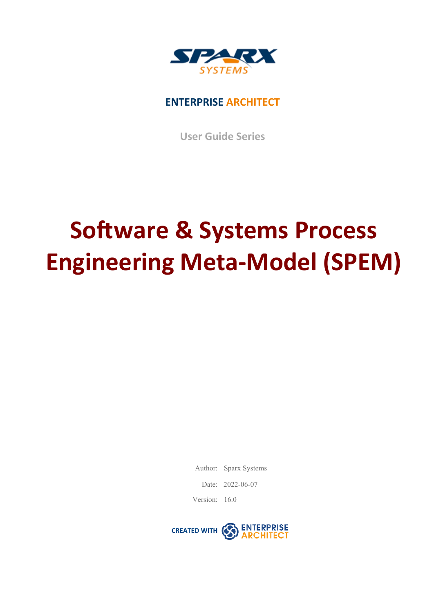

## **ENTERPRISE ARCHITECT**

**User Guide Series**

# **Software & Systems Process Engineering Meta-Model (SPEM)**

Author: Sparx Systems

Date: 2022-06-07

Version: 16.0

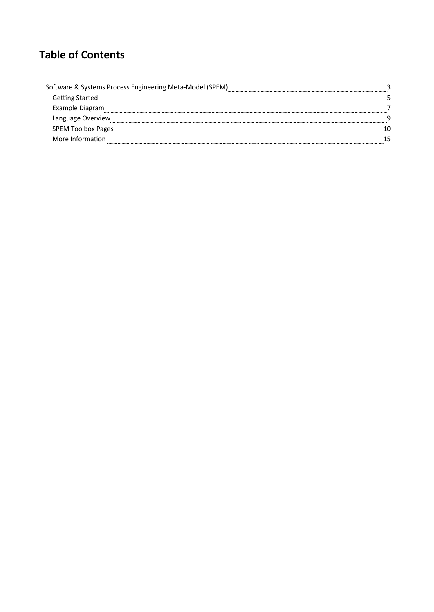# **Table of Contents**

| Software & Systems Process Engineering Meta-Model (SPEM) |                           |  |
|----------------------------------------------------------|---------------------------|--|
|                                                          | <b>Getting Started</b>    |  |
|                                                          | Example Diagram           |  |
|                                                          | Language Overview         |  |
|                                                          | <b>SPEM Toolbox Pages</b> |  |
|                                                          | More Information          |  |
|                                                          |                           |  |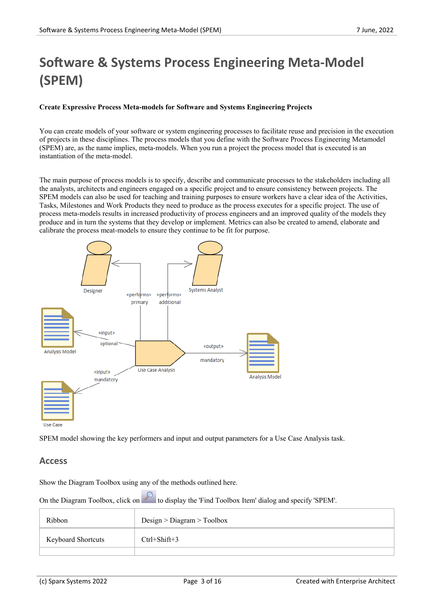# **Software & Systems Process Engineering Meta-Model (SPEM)**

#### **Create Expressive Process Meta-models for Software and Systems Engineering Projects**

You can create models of your software or system engineering processes to facilitate reuse and precision in the execution of projects in these disciplines. The process models that you define with the Software Process Engineering Metamodel (SPEM) are, as the name implies, meta-models. When you run a project the process model that is executed is an instantiation of the meta-model.

The main purpose of process models is to specify, describe and communicate processes to the stakeholders including all the analysts, architects and engineers engaged on a specific project and to ensure consistency between projects. The SPEM models can also be used for teaching and training purposes to ensure workers have a clear idea of the Activities, Tasks, Milestones and Work Products they need to produce asthe process executes for a specific project. The use of process meta-models results in increased productivity of process engineers and an improved quality of the models they produce and in turn the systems that they develop or implement. Metrics can also be created to amend, elaborate and calibrate the process meat-models to ensure they continue to be fit for purpose.



SPEM model showing the key performers and input and output parameters for a Use Case Analysis task.

#### **Access**

Show the Diagram Toolbox using any of the methods outlined here.

On the Diagram Toolbox, click on to display the 'Find Toolbox Item' dialog and specify 'SPEM'.

| Ribbon                    | Design > Diagram > Toolbox |
|---------------------------|----------------------------|
| <b>Keyboard Shortcuts</b> | $Ctrl + Shift + 3$         |
|                           |                            |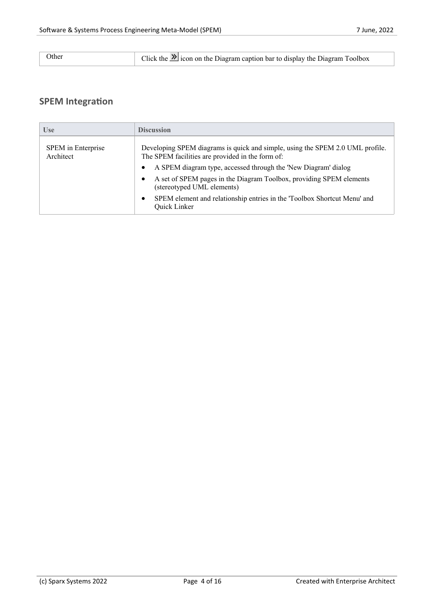| Other<br>Click the $\sum$ icon on the Diagram caption bar to display the Diagram Toolbox |  |
|------------------------------------------------------------------------------------------|--|
|------------------------------------------------------------------------------------------|--|

## **SPEM Integration**

| <b>Use</b>                      | <b>Discussion</b>                                                                                                                 |
|---------------------------------|-----------------------------------------------------------------------------------------------------------------------------------|
| SPEM in Enterprise<br>Architect | Developing SPEM diagrams is quick and simple, using the SPEM 2.0 UML profile.<br>The SPEM facilities are provided in the form of: |
|                                 | A SPEM diagram type, accessed through the 'New Diagram' dialog<br>$\bullet$                                                       |
|                                 | A set of SPEM pages in the Diagram Toolbox, providing SPEM elements<br>٠<br>(stereotyped UML elements)                            |
|                                 | SPEM element and relationship entries in the 'Toolbox Shortcut Menu' and<br>$\bullet$<br>Quick Linker                             |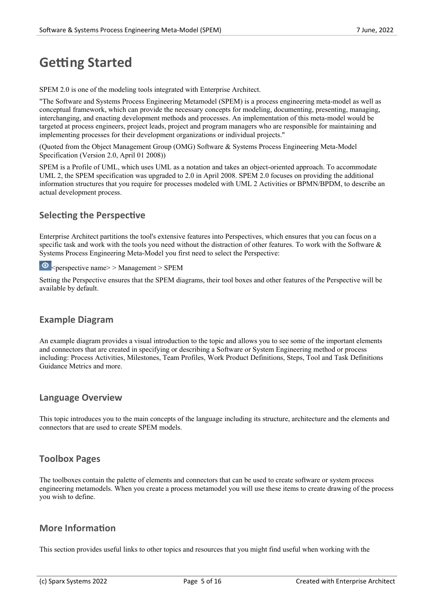# **Getting Started**

SPEM 2.0 is one of the modeling tools integrated with Enterprise Architect.

"The Software and Systems Process Engineering Metamodel (SPEM) is a process engineering meta-model as well as conceptual framework, which can provide the necessary concepts for modeling, documenting, presenting, managing, interchanging, and enacting development methods and processes. An implementation of this meta-model would be targeted at process engineers, project leads, project and program managers who are responsible for maintaining and implementing processes for their development organizations orindividual projects."

(Quoted from the Object Management Group (OMG) Software & Systems Process Engineering Meta-Model Specification (Version 2.0, April 01 2008))

SPEM is a Profile of UML, which uses UML as a notation and takes an object-oriented approach. To accommodate UML 2, the SPEM specification was upgraded to 2.0 in April 2008. SPEM 2.0 focuses on providing the additional information structures that you require for processes modeled with UML 2 Activities or BPMN/BPDM, to describe an actual development process.

## **Selecting the Perspective**

Enterprise Architect partitions the tool's extensive features into Perspectives, which ensures that you can focus on a specific task and work with the tools you need without the distraction of other features. To work with the Software & Systems Process Engineering Meta-Model you first need to select the Perspective:

 $\odot$   $\leq_{\text{perspective name}}$  > Management > SPEM

Setting the Perspective ensures that the SPEM diagrams, their tool boxes and other features ofthe Perspective will be available by default.

#### **Example Diagram**

An example diagram provides a visual introduction to the topic and allows you to see some of the important elements and connectors that are created in specifying or describing a Software or System Engineering method or process including: Process Activities, Milestones, Team Profiles, Work ProductDefinitions, Steps, Tool and Task Definitions Guidance Metrics and more.

#### **Language Overview**

This topic introduces you to the main concepts of the language including its structure, architecture and the elements and connectors that are used to create SPEM models.

#### **Toolbox Pages**

The toolboxes contain the palette of elements and connectors that can be used to create software or system process engineering metamodels. When you create a process metamodel you will use these items to create drawing of the process you wish to define.

## **More Information**

This section provides useful links to other topics and resources that you might find useful when working with the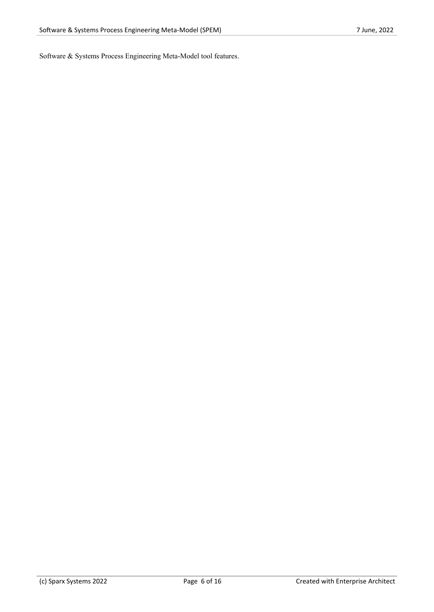Software & Systems Process Engineering Meta-Model tool features.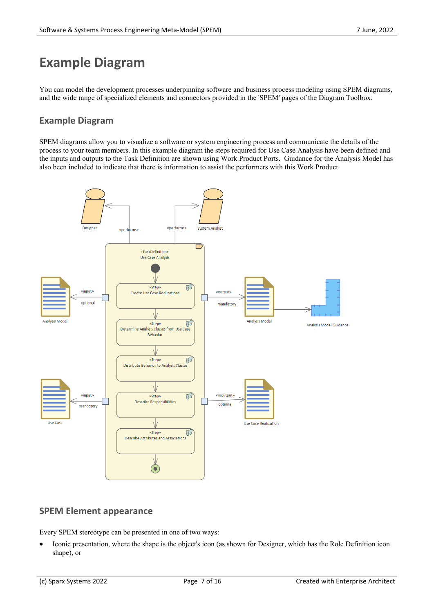# **Example Diagram**

You can model the development processes underpinning software and business process modeling using SPEM diagrams, and the wide range of specialized elements and connectors provided in the 'SPEM' pages ofthe Diagram Toolbox.

## **Example Diagram**

SPEM diagrams allow you to visualize a software or system engineering process and communicate the details of the process to your team members. Inthis example diagram the steps required for Use Case Analysis have been defined and the inputs and outputs to the Task Definition are shown using Work Product Ports. Guidance for the Analysis Model has also been included to indicate that there is information to assist the performers with this Work Product.



#### **SPEM Element appearance**

Every SPEM stereotype can be presented in one of two ways:

• Iconic presentation, where the shape is the object's icon (as shown for Designer, which has the Role Definition icon shape), or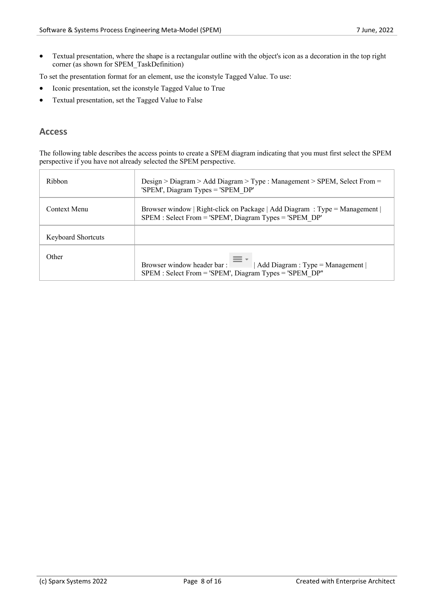• Textual presentation, where the shape is a rectangular outline with the object's icon as a decoration in the top right corner (as shown for SPEM\_TaskDefinition)

To set the presentation format for an element, use the iconstyle Tagged Value. To use:

- Iconic presentation, set the iconstyle Tagged Value to True
- Textual presentation, set the Tagged Value to False

#### **Access**

The following table describes the access points to create a SPEM diagram indicating that you must first select the SPEM perspective if you have not already selected the SPEM perspective.

| Ribbon                    | Design > Diagram > Add Diagram > Type : Management > SPEM, Select From =<br>'SPEM', Diagram Types = 'SPEM DP'                         |  |
|---------------------------|---------------------------------------------------------------------------------------------------------------------------------------|--|
| Context Menu              | Browser window   Right-click on Package   Add Diagram : Type = Management  <br>SPEM : Select From = 'SPEM', Diagram Types = 'SPEM DP' |  |
| <b>Keyboard Shortcuts</b> |                                                                                                                                       |  |
| Other                     | Browser window header bar:<br>Add Diagram : $Type = Management$<br>SPEM : Select From = 'SPEM', Diagram Types = 'SPEM DP"             |  |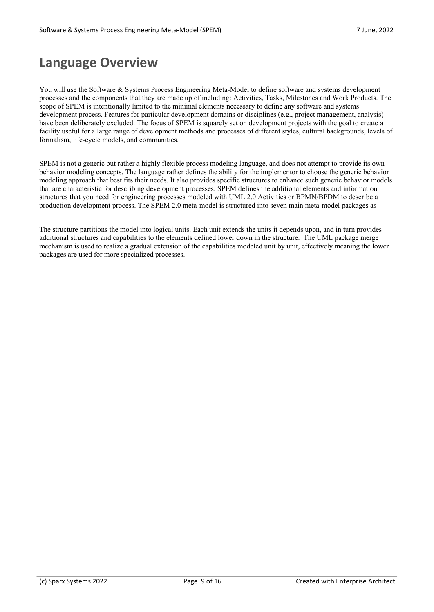# **Language Overview**

You will use the Software & Systems Process Engineering Meta-Model to define software and systems development processes and the components that they are made up of including: Activities, Tasks, Milestones and Work Products. The scope of SPEM is intentionally limited to the minimal elements necessary to define any software and systems development process. Features for particular development domains or disciplines (e.g., project management, analysis) have been deliberately excluded. The focus of SPEM is squarely set on development projects with the goal to create a facility useful for a large range of development methods and processes of different styles, cultural backgrounds, levels of formalism, life-cycle models, and communities.

SPEM is not a generic but rather a highly flexible process modeling language, and doesnot attempt to provide its own behavior modeling concepts. The language rather defines the ability for the implementor to choose the generic behavior modeling approach that best fits their needs. It also provides specific structures to enhance such generic behavior models that are characteristic for describing development processes. SPEM defines the additional elements and information structures that you need for engineering processes modeled with UML 2.0 Activities or BPMN/BPDM to describe a production development process. The SPEM 2.0 meta-model is structured into seven main meta-model packages as

The structure partitions the model into logical units. Each unit extends the units it depends upon, and in turn provides additional structures and capabilities to the elements defined lower down in the structure. The UML package merge mechanism is used to realize a gradual extension of the capabilities modeled unit by unit, effectively meaning the lower packages are used for more specialized processes.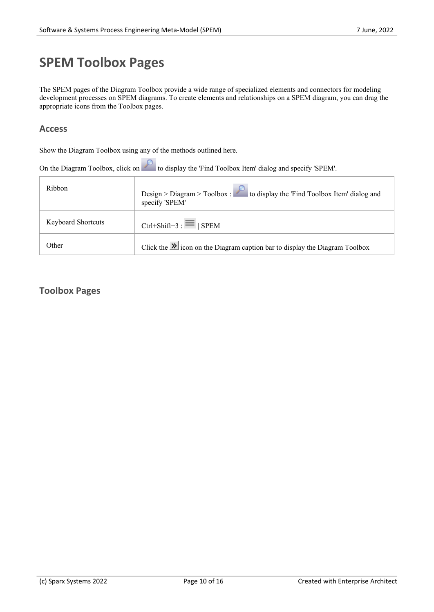# **SPEM Toolbox Pages**

The SPEM pages of the Diagram Toolbox provide a wide range of specialized elements and connectors for modeling development processes on SPEM diagrams. To create elements and relationships on a SPEM diagram, you can drag the appropriate icons from the Toolbox pages.

#### **Access**

Show the Diagram Toolbox using any of the methods outlined here.

| On the Diagram Toolbox, click on the Use of the Times Toolbox Item' dialog and specify 'SPEM'. |                                                                                                     |  |
|------------------------------------------------------------------------------------------------|-----------------------------------------------------------------------------------------------------|--|
| Ribbon                                                                                         | Design > Diagram > Toolbox : $\sim$ to display the 'Find Toolbox Item' dialog and<br>specify 'SPEM' |  |
| <b>Keyboard Shortcuts</b>                                                                      | Ctrl+Shift+3 : $\equiv$   SPEM                                                                      |  |
| Other                                                                                          | Click the $\mathcal{V}$ icon on the Diagram caption bar to display the Diagram Toolbox              |  |

## **Toolbox Pages**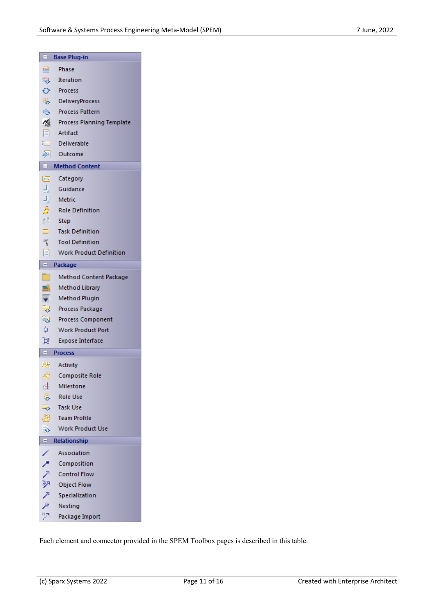| ы                           | <b>Base Plug-in</b>              |  |
|-----------------------------|----------------------------------|--|
| 竺                           | Phase                            |  |
|                             | <b>S</b> Iteration               |  |
|                             | ← Process                        |  |
|                             | 思 DeliveryProcess                |  |
|                             | <b>B</b> Process Pattern         |  |
| 偈                           | <b>Process Planning Template</b> |  |
|                             | $\Box$ Artifact                  |  |
| $\overline{\triangleright}$ | Deliverable                      |  |
|                             | 图 Outcome                        |  |
|                             | $\Box$ Method Content            |  |
| 仁!                          | Category                         |  |
|                             | Guidance                         |  |
|                             | Metric                           |  |
| 出出身                         | <b>Role Definition</b>           |  |
| $\mathbb{S}^n$              | – Step                           |  |
| Þ                           | <b>Task Definition</b>           |  |
| 置                           | <b>Tool Definition</b>           |  |
| 目                           | <b>Work Product Definition</b>   |  |
| $\blacksquare$<br>Package   |                                  |  |
|                             | <b>Method Content Package</b>    |  |
| 中空空剑具                       | Method Library                   |  |
|                             | Method Plugin                    |  |
|                             | Process Package                  |  |
|                             | <b>Process Component</b>         |  |
|                             | <b>Work Product Port</b>         |  |
| B.                          | <b>Expose Interface</b>          |  |
| $\blacksquare$              | <b>Process</b>                   |  |
|                             | 85 Activity                      |  |
| s,                          | <b>Composite Role</b>            |  |
| ఆ                           | Milestone                        |  |
| S                           | Role Use                         |  |
| $\frac{1}{2}$               | Task Use                         |  |
| ෂී                          | <b>Team Profile</b>              |  |
| ⋑                           | <b>Work Product Use</b>          |  |
| $\blacksquare$              | <b>Relationship</b>              |  |
| ∕                           | Association                      |  |
| ↗                           | Composition                      |  |
| ↗                           | <b>Control Flow</b>              |  |
| 驷                           | <b>Object Flow</b>               |  |
| ↗                           | Specialization                   |  |
| ۶                           | Nesting                          |  |
| 양격                          | Package Import                   |  |

Each element and connector provided in the SPEM Toolbox pages is described in this table.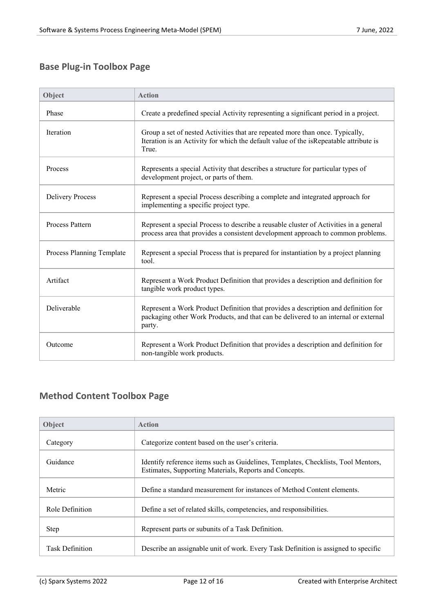## **Base Plug-in Toolbox Page**

| Object                    | <b>Action</b>                                                                                                                                                                       |
|---------------------------|-------------------------------------------------------------------------------------------------------------------------------------------------------------------------------------|
| Phase                     | Create a predefined special Activity representing a significant period in a project.                                                                                                |
| Iteration                 | Group a set of nested Activities that are repeated more than once. Typically,<br>Iteration is an Activity for which the default value of the isRepeatable attribute is<br>True.     |
| Process                   | Represents a special Activity that describes a structure for particular types of<br>development project, or parts of them.                                                          |
| <b>Delivery Process</b>   | Represent a special Process describing a complete and integrated approach for<br>implementing a specific project type.                                                              |
| Process Pattern           | Represent a special Process to describe a reusable cluster of Activities in a general<br>process area that provides a consistent development approach to common problems.           |
| Process Planning Template | Represent a special Process that is prepared for instantiation by a project planning<br>tool.                                                                                       |
| Artifact                  | Represent a Work Product Definition that provides a description and definition for<br>tangible work product types.                                                                  |
| Deliverable               | Represent a Work Product Definition that provides a description and definition for<br>packaging other Work Products, and that can be delivered to an internal or external<br>party. |
| Outcome                   | Represent a Work Product Definition that provides a description and definition for<br>non-tangible work products.                                                                   |

## **Method Content Toolbox Page**

| Object                 | <b>Action</b>                                                                                                                               |
|------------------------|---------------------------------------------------------------------------------------------------------------------------------------------|
| Category               | Categorize content based on the user's criteria.                                                                                            |
| Guidance               | Identify reference items such as Guidelines, Templates, Checklists, Tool Mentors,<br>Estimates, Supporting Materials, Reports and Concepts. |
| Metric                 | Define a standard measurement for instances of Method Content elements.                                                                     |
| Role Definition        | Define a set of related skills, competencies, and responsibilities.                                                                         |
| <b>Step</b>            | Represent parts or subunits of a Task Definition.                                                                                           |
| <b>Task Definition</b> | Describe an assignable unit of work. Every Task Definition is assigned to specific                                                          |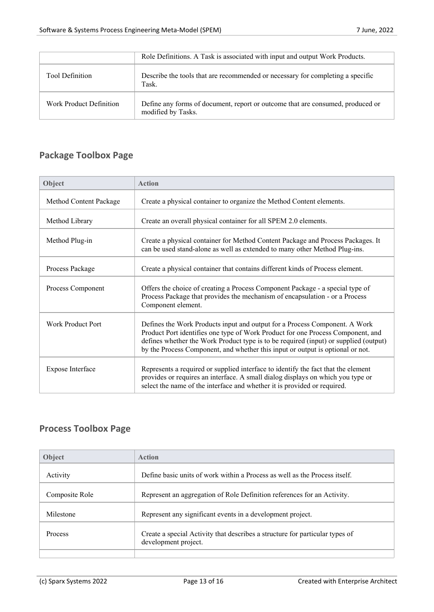|                         | Role Definitions. A Task is associated with input and output Work Products.                          |
|-------------------------|------------------------------------------------------------------------------------------------------|
| <b>Tool Definition</b>  | Describe the tools that are recommended or necessary for completing a specific<br>Task.              |
| Work Product Definition | Define any forms of document, report or outcome that are consumed, produced or<br>modified by Tasks. |

## **Package Toolbox Page**

| Object                 | <b>Action</b>                                                                                                                                                                                                                                                                                                                           |
|------------------------|-----------------------------------------------------------------------------------------------------------------------------------------------------------------------------------------------------------------------------------------------------------------------------------------------------------------------------------------|
| Method Content Package | Create a physical container to organize the Method Content elements.                                                                                                                                                                                                                                                                    |
| Method Library         | Create an overall physical container for all SPEM 2.0 elements.                                                                                                                                                                                                                                                                         |
| Method Plug-in         | Create a physical container for Method Content Package and Process Packages. It<br>can be used stand-alone as well as extended to many other Method Plug-ins.                                                                                                                                                                           |
| Process Package        | Create a physical container that contains different kinds of Process element.                                                                                                                                                                                                                                                           |
| Process Component      | Offers the choice of creating a Process Component Package - a special type of<br>Process Package that provides the mechanism of encapsulation - or a Process<br>Component element.                                                                                                                                                      |
| Work Product Port      | Defines the Work Products input and output for a Process Component. A Work<br>Product Port identifies one type of Work Product for one Process Component, and<br>defines whether the Work Product type is to be required (input) or supplied (output)<br>by the Process Component, and whether this input or output is optional or not. |
| Expose Interface       | Represents a required or supplied interface to identify the fact that the element<br>provides or requires an interface. A small dialog displays on which you type or<br>select the name of the interface and whether it is provided or required.                                                                                        |

## **Process Toolbox Page**

| <b>Object</b>  | Action                                                                                               |
|----------------|------------------------------------------------------------------------------------------------------|
| Activity       | Define basic units of work within a Process as well as the Process itself.                           |
| Composite Role | Represent an aggregation of Role Definition references for an Activity.                              |
| Milestone      | Represent any significant events in a development project.                                           |
| <b>Process</b> | Create a special Activity that describes a structure for particular types of<br>development project. |
|                |                                                                                                      |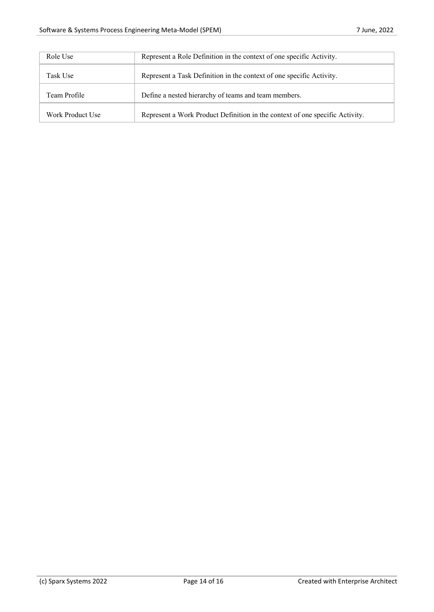| Role Use         | Represent a Role Definition in the context of one specific Activity.         |
|------------------|------------------------------------------------------------------------------|
| Task Use         | Represent a Task Definition in the context of one specific Activity.         |
| Team Profile     | Define a nested hierarchy of teams and team members.                         |
| Work Product Use | Represent a Work Product Definition in the context of one specific Activity. |